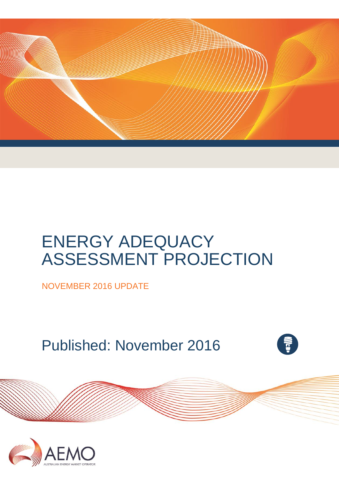

# ENERGY ADEQUACY ASSESSMENT PROJECTION

NOVEMBER 2016 UPDATE

Published: November 2016



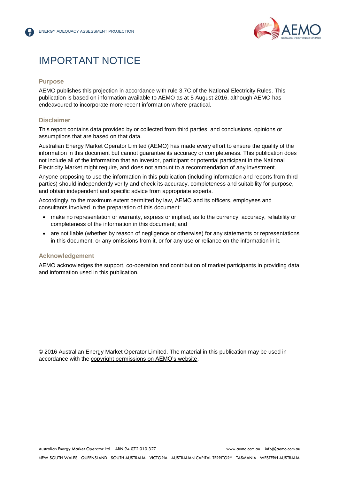

## IMPORTANT NOTICE

#### **Purpose**

AEMO publishes this projection in accordance with rule 3.7C of the National Electricity Rules. This publication is based on information available to AEMO as at 5 August 2016, although AEMO has endeavoured to incorporate more recent information where practical.

#### **Disclaimer**

This report contains data provided by or collected from third parties, and conclusions, opinions or assumptions that are based on that data.

Australian Energy Market Operator Limited (AEMO) has made every effort to ensure the quality of the information in this document but cannot guarantee its accuracy or completeness. This publication does not include all of the information that an investor, participant or potential participant in the National Electricity Market might require, and does not amount to a recommendation of any investment.

Anyone proposing to use the information in this publication (including information and reports from third parties) should independently verify and check its accuracy, completeness and suitability for purpose, and obtain independent and specific advice from appropriate experts.

Accordingly, to the maximum extent permitted by law, AEMO and its officers, employees and consultants involved in the preparation of this document:

- make no representation or warranty, express or implied, as to the currency, accuracy, reliability or completeness of the information in this document; and
- are not liable (whether by reason of negligence or otherwise) for any statements or representations in this document, or any omissions from it, or for any use or reliance on the information in it.

#### **Acknowledgement**

AEMO acknowledges the support, co-operation and contribution of market participants in providing data and information used in this publication.

© 2016 Australian Energy Market Operator Limited. The material in this publication may be used in accordance with the [copyright permissions on AEMO's website.](http://aemo.com.au/Privacy_and_Legal_Notices/Copyright_Permissions_Notice)

Australian Energy Market Operator Ltd ABN 94 072 010 327 [www.aemo.com.au](http://www.aemo.com.au/) [info@aemo.com.au](mailto:info@aemo.com.au)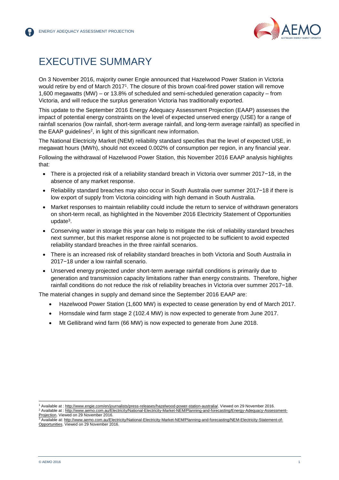

## <span id="page-2-0"></span>EXECUTIVE SUMMARY

On 3 November 2016, majority owner Engie announced that Hazelwood Power Station in Victoria would retire by end of March 2017<sup>1</sup>. The closure of this brown coal-fired power station will remove 1,600 megawatts (MW) – or 13.8% of scheduled and semi-scheduled generation capacity – from Victoria, and will reduce the surplus generation Victoria has traditionally exported.

This update to the September 2016 Energy Adequacy Assessment Projection (EAAP) assesses the impact of potential energy constraints on the level of expected unserved energy (USE) for a range of rainfall scenarios (low rainfall, short-term average rainfall, and long-term average rainfall) as specified in the EAAP guidelines<sup>2</sup>, in light of this significant new information.

The National Electricity Market (NEM) reliability standard specifies that the level of expected USE, in megawatt hours (MWh), should not exceed 0.002% of consumption per region, in any financial year.

Following the withdrawal of Hazelwood Power Station, this November 2016 EAAP analysis highlights that:

- There is a projected risk of a reliability standard breach in Victoria over summer 2017−18, in the absence of any market response.
- Reliability standard breaches may also occur in South Australia over summer 2017−18 if there is low export of supply from Victoria coinciding with high demand in South Australia.
- Market responses to maintain reliability could include the return to service of withdrawn generators on short-term recall, as highlighted in the November 2016 Electricity Statement of Opportunities update<sup>3</sup>.
- Conserving water in storage this year can help to mitigate the risk of reliability standard breaches next summer, but this market response alone is not projected to be sufficient to avoid expected reliability standard breaches in the three rainfall scenarios.
- There is an increased risk of reliability standard breaches in both Victoria and South Australia in 2017−18 under a low rainfall scenario.
- Unserved energy projected under short-term average rainfall conditions is primarily due to generation and transmission capacity limitations rather than energy constraints. Therefore, higher rainfall conditions do not reduce the risk of reliability breaches in Victoria over summer 2017−18.

The material changes in supply and demand since the September 2016 EAAP are:

- Hazelwood Power Station (1,600 MW) is expected to cease generation by end of March 2017.
- Hornsdale wind farm stage 2 (102.4 MW) is now expected to generate from June 2017.
- Mt Gellibrand wind farm (66 MW) is now expected to generate from June 2018.

l

<sup>1</sup> Available at : [http://www.engie.com/en/journalists/press-releases/hazelwood-power-station-australia/.](http://www.engie.com/en/journalists/press-releases/hazelwood-power-station-australia/) Viewed on 29 November 2016. <sup>2</sup> Available at : [http://www.aemo.com.au/Electricity/National-Electricity-Market-NEM/Planning-and-forecasting/Energy-Adequacy-Assessment-](http://www.aemo.com.au/Electricity/National-Electricity-Market-NEM/Planning-and-forecasting/Energy-Adequacy-Assessment-Projection)

<sup>&</sup>lt;u>Projection</u>. Viewed on 29 November 2016.<br><sup>3</sup> Available at: <u>http://www.aemo.com.au/Electricity/National-Electricity-Market-NEM/Planning-and-forecasting/NEM-Electricity-Statement-of-</u> [Opportunities.](http://www.aemo.com.au/Electricity/National-Electricity-Market-NEM/Planning-and-forecasting/NEM-Electricity-Statement-of-Opportunities) Viewed on 29 November 2016.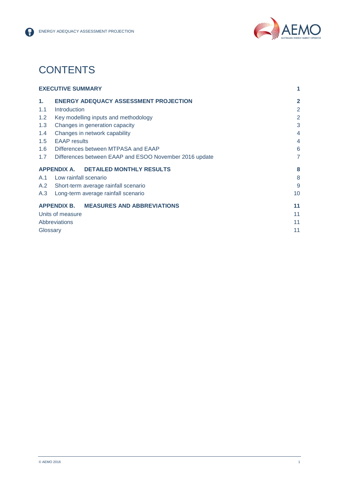



## **CONTENTS**

|                | <b>EXECUTIVE SUMMARY</b>                               | 1              |
|----------------|--------------------------------------------------------|----------------|
| $\mathbf{1}$ . | <b>ENERGY ADEQUACY ASSESSMENT PROJECTION</b>           | $\overline{2}$ |
| 1.1            | Introduction                                           | $\overline{2}$ |
| 1.2            | Key modelling inputs and methodology                   | $\overline{2}$ |
| 1.3            | Changes in generation capacity                         | 3              |
| 1.4            | Changes in network capability                          | 4              |
| 1.5            | <b>EAAP</b> results                                    | 4              |
| 1.6            | Differences between MTPASA and EAAP                    | 6              |
| 1.7            | Differences between EAAP and ESOO November 2016 update | 7              |
|                | APPENDIX A. DETAILED MONTHLY RESULTS                   | 8              |
|                | A.1 Low rainfall scenario                              | 8              |
|                | A.2 Short-term average rainfall scenario               | 9              |
| A.3            | Long-term average rainfall scenario                    | 10             |
|                | APPENDIX B. MEASURES AND ABBREVIATIONS                 | 11             |
|                | Units of measure                                       | 11             |
|                | <b>Abbreviations</b>                                   | 11             |
|                | Glossary                                               | 11             |
|                |                                                        |                |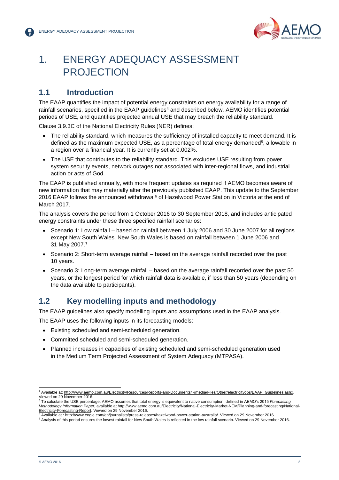

## <span id="page-4-0"></span>1. ENERGY ADEQUACY ASSESSMENT PROJECTION

## <span id="page-4-1"></span>**1.1 Introduction**

The EAAP quantifies the impact of potential energy constraints on energy availability for a range of rainfall scenarios, specified in the EAAP guidelines<sup>4</sup> and described below. AEMO identifies potential periods of USE, and quantifies projected annual USE that may breach the reliability standard.

Clause 3.9.3C of the National Electricity Rules (NER) defines:

- The reliability standard, which measures the sufficiency of installed capacity to meet demand. It is defined as the maximum expected USE, as a percentage of total energy demanded<sup>5</sup>, allowable in a region over a financial year. It is currently set at 0.002%.
- The USE that contributes to the reliability standard. This excludes USE resulting from power system security events, network outages not associated with inter-regional flows, and industrial action or acts of God.

The EAAP is published annually, with more frequent updates as required if AEMO becomes aware of new information that may materially alter the previously published EAAP. This update to the September 2016 EAAP follows the announced withdrawal<sup>6</sup> of Hazelwood Power Station in Victoria at the end of March 2017.

The analysis covers the period from 1 October 2016 to 30 September 2018, and includes anticipated energy constraints under these three specified rainfall scenarios:

- Scenario 1: Low rainfall based on rainfall between 1 July 2006 and 30 June 2007 for all regions except New South Wales. New South Wales is based on rainfall between 1 June 2006 and 31 May 2007.<sup>7</sup>
- Scenario 2: Short-term average rainfall based on the average rainfall recorded over the past 10 years.
- Scenario 3: Long-term average rainfall based on the average rainfall recorded over the past 50 years, or the longest period for which rainfall data is available, if less than 50 years (depending on the data available to participants).

### <span id="page-4-2"></span>**1.2 Key modelling inputs and methodology**

The EAAP guidelines also specify modelling inputs and assumptions used in the EAAP analysis.

The EAAP uses the following inputs in its forecasting models:

- Existing scheduled and semi-scheduled generation.
- Committed scheduled and semi-scheduled generation.
- Planned increases in capacities of existing scheduled and semi-scheduled generation used in the Medium Term Projected Assessment of System Adequacy (MTPASA).

l

<sup>4</sup> Available at[: http://www.aemo.com.au/Electricity/Resources/Reports-and-Documents/~/media/Files/Other/electricityops/EAAP\\_Guidelines.ashx.](http://www.aemo.com.au/Electricity/Resources/Reports-and-Documents/~/media/Files/Other/electricityops/EAAP_Guidelines.ashx) Viewed on 29 November 2016.

<sup>5</sup> To calculate the USE percentage, AEMO assumes that total energy is equivalent to native consumption, defined in AEMO's 2015 *Forecasting Methodology Information Paper*, available at [http://www.aemo.com.au/Electricity/National-Electricity-Market-NEM/Planning-and-forecasting/National-](http://www.aemo.com.au/Electricity/National-Electricity-Market-NEM/Planning-and-forecasting/National-Electricity-Forecasting-Report)[Electricity-Forecasting-Report.](http://www.aemo.com.au/Electricity/National-Electricity-Market-NEM/Planning-and-forecasting/National-Electricity-Forecasting-Report) Viewed on 29 November 2016.

Available at : [http://www.engie.com/en/journalists/press-releases/hazelwood-power-station-australia/.](http://www.engie.com/en/journalists/press-releases/hazelwood-power-station-australia/) Viewed on 29 November 2016.

<sup>7</sup> Analysis of this period ensures the lowest rainfall for New South Wales is reflected in the low rainfall scenario. Viewed on 29 November 2016.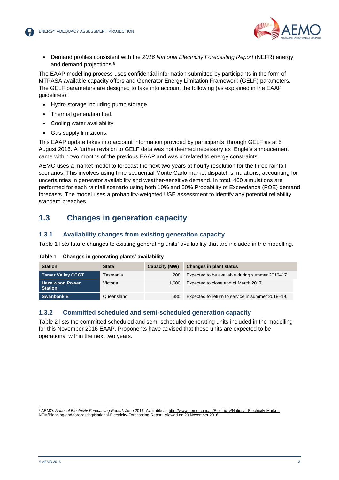

 Demand profiles consistent with the *2016 National Electricity Forecasting Report* (NEFR) energy and demand projections.<sup>8</sup>

The EAAP modelling process uses confidential information submitted by participants in the form of MTPASA available capacity offers and Generator Energy Limitation Framework (GELF) parameters. The GELF parameters are designed to take into account the following (as explained in the EAAP guidelines):

- Hydro storage including pump storage.
- Thermal generation fuel.
- Cooling water availability.
- Gas supply limitations.

This EAAP update takes into account information provided by participants, through GELF as at 5 August 2016. A further revision to GELF data was not deemed necessary as Engie's annoucement came within two months of the previous EAAP and was unrelated to energy constraints.

AEMO uses a market model to forecast the next two years at hourly resolution for the three rainfall scenarios. This involves using time-sequential Monte Carlo market dispatch simulations, accounting for uncertainties in generator availability and weather-sensitive demand. In total, 400 simulations are performed for each rainfall scenario using both 10% and 50% Probability of Exceedance (POE) demand forecasts. The model uses a probability-weighted USE assessment to identify any potential reliability standard breaches.

## <span id="page-5-0"></span>**1.3 Changes in generation capacity**

#### **1.3.1 Availability changes from existing generation capacity**

Table 1 lists future changes to existing generating units' availability that are included in the modelling.

| <b>Station</b>                           | <b>State</b> | Capacity (MW) | <b>Changes in plant status</b>                   |
|------------------------------------------|--------------|---------------|--------------------------------------------------|
| <b>Tamar Valley CCGT</b>                 | Tasmania     | 208           | Expected to be available during summer 2016-17.  |
| <b>Hazelwood Power</b><br><b>Station</b> | Victoria     | 1.600         | Expected to close end of March 2017.             |
| <b>Swanbank E</b>                        | Queensland   | 385           | Expected to return to service in summer 2018–19. |

#### **Table 1 Changes in generating plants' availability**

#### **1.3.2 Committed scheduled and semi-scheduled generation capacity**

Table 2 lists the committed scheduled and semi-scheduled generating units included in the modelling for this November 2016 EAAP. Proponents have advised that these units are expected to be operational within the next two years.

l 8 AEMO. National Electricity Forecasting Report, June 2016. Available at: [http://www.aemo.com.au/Electricity/National-Electricity-Market-](http://www.aemo.com.au/Electricity/National-Electricity-Market-NEM/Planning-and-forecasting/National-Electricity-Forecasting-Report)[NEM/Planning-and-forecasting/National-Electricity-Forecasting-Report.](http://www.aemo.com.au/Electricity/National-Electricity-Market-NEM/Planning-and-forecasting/National-Electricity-Forecasting-Report) Viewed on 29 November 2016.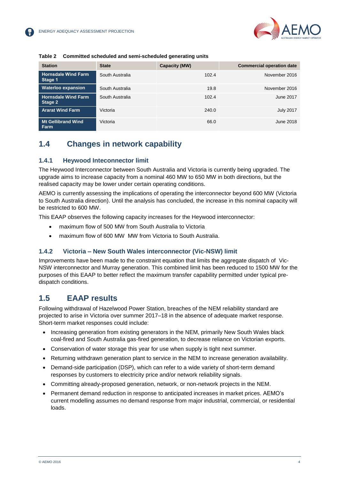

| <b>Station</b>                        | <b>State</b>    | Capacity (MW) | <b>Commercial operation date</b> |
|---------------------------------------|-----------------|---------------|----------------------------------|
| <b>Hornsdale Wind Farm</b><br>Stage 1 | South Australia | 102.4         | November 2016                    |
| <b>Waterloo expansion</b>             | South Australia | 19.8          | November 2016                    |
| <b>Hornsdale Wind Farm</b><br>Stage 2 | South Australia | 102.4         | June 2017                        |
| <b>Ararat Wind Farm</b>               | Victoria        | 240.0         | <b>July 2017</b>                 |
| <b>Mt Gellibrand Wind</b><br>Farm     | Victoria        | 66.0          | June 2018                        |

#### **Table 2 Committed scheduled and semi-scheduled generating units**

## <span id="page-6-0"></span>**1.4 Changes in network capability**

#### **1.4.1 Heywood Inteconnector limit**

The Heywood Interconnector between South Australia and Victoria is currently being upgraded. The upgrade aims to increase capacity from a nominal 460 MW to 650 MW in both directions, but the realised capacity may be lower under certain operating conditions.

AEMO is currently assessing the implications of operating the interconnector beyond 600 MW (Victoria to South Australia direction). Until the analysis has concluded, the increase in this nominal capacity will be restricted to 600 MW.

This EAAP observes the following capacity increases for the Heywood interconnector:

- maximum flow of 500 MW from South Australia to Victoria
- maximum flow of 600 MW MW from Victoria to South Australia.

#### **1.4.2 Victoria – New South Wales interconnector (Vic-NSW) limit**

Improvements have been made to the constraint equation that limits the aggregate dispatch of Vic-NSW interconnector and Murray generation. This combined limit has been reduced to 1500 MW for the purposes of this EAAP to better reflect the maximum transfer capability permitted under typical predispatch conditions.

### <span id="page-6-1"></span>**1.5 EAAP results**

Following withdrawal of Hazelwood Power Station, breaches of the NEM reliability standard are projected to arise in Victoria over summer 2017–18 in the absence of adequate market response. Short-term market responses could include:

- Increasing generation from existing generators in the NEM, primarily New South Wales black coal-fired and South Australia gas-fired generation, to decrease reliance on Victorian exports.
- Conservation of water storage this year for use when supply is tight next summer.
- Returning withdrawn generation plant to service in the NEM to increase generation availability.
- Demand-side participation (DSP), which can refer to a wide variety of short-term demand responses by customers to electricity price and/or network reliability signals.
- Committing already-proposed generation, network, or non-network projects in the NEM.
- Permanent demand reduction in response to anticipated increases in market prices. AEMO's current modelling assumes no demand response from major industrial, commercial, or residential loads.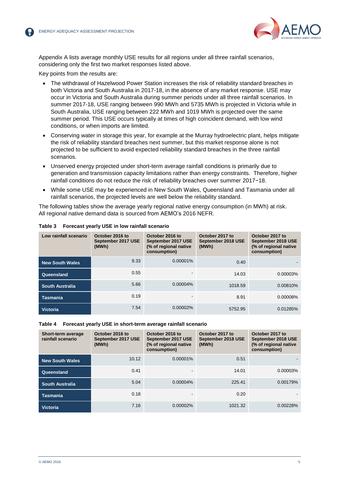

Appendix A lists average monthly USE results for all regions under all three rainfall scenarios, considering only the first two market responses listed above.

Key points from the results are:

- The withdrawal of Hazelwood Power Station increases the risk of reliability standard breaches in both Victoria and South Australia in 2017-18, in the absence of any market response. USE may occur in Victoria and South Australia during summer periods under all three rainfall scenarios. In summer 2017-18, USE ranging between 990 MWh and 5735 MWh is projected in Victoria while in South Australia, USE ranging between 222 MWh and 1019 MWh is projected over the same summer period. This USE occurs typically at times of high coincident demand, with low wind conditions, or when imports are limited.
- Conserving water in storage this year, for example at the Murray hydroelectric plant, helps mitigate the risk of reliability standard breaches next summer, but this market response alone is not projected to be sufficient to avoid expected reliability standard breaches in the three rainfall scenarios.
- Unserved energy projected under short-term average rainfall conditions is primarily due to generation and transmission capacity limitations rather than energy constraints. Therefore, higher rainfall conditions do not reduce the risk of reliability breaches over summer 2017−18.
- While some USE may be experienced in New South Wales, Queensland and Tasmania under all rainfall scenarios, the projected levels are well below the reliability standard.

The following tables show the average yearly regional native energy consumption (in MWh) at risk. All regional native demand data is sourced from AEMO's 2016 NEFR.

| Low rainfall scenario  | October 2016 to<br>September 2017 USE<br>(MWh) | October 2016 to<br>September 2017 USE<br>(% of regional native<br>consumption) | October 2017 to<br>September 2018 USE<br>(MWh) | October 2017 to<br>September 2018 USE<br>(% of regional native<br>consumption) |
|------------------------|------------------------------------------------|--------------------------------------------------------------------------------|------------------------------------------------|--------------------------------------------------------------------------------|
| <b>New South Wales</b> | 9.33                                           | $0.00001\%$                                                                    | 0.40                                           |                                                                                |
| Queensland             | 0.55                                           |                                                                                | 14.03                                          | 0.00003%                                                                       |
| <b>South Australia</b> | 5.66                                           | $0.00004\%$                                                                    | 1018.59                                        | 0.00810%                                                                       |
| <b>Tasmania</b>        | 0.19                                           |                                                                                | 8.91                                           | 0.00008%                                                                       |
| <b>Victoria</b>        | 7.54                                           | $0.00002\%$                                                                    | 5752.95                                        | 0.01285%                                                                       |

#### **Table 3 Forecast yearly USE in low rainfall scenario**

#### **Table 4 Forecast yearly USE in short-term average rainfall scenario**

| Short-term average<br>rainfall scenario | October 2016 to<br>September 2017 USE<br>(MWh) | October 2016 to<br>September 2017 USE<br>(% of regional native<br>consumption) | October 2017 to<br>September 2018 USE<br>(MWh) | October 2017 to<br>September 2018 USE<br>(% of regional native<br>consumption) |
|-----------------------------------------|------------------------------------------------|--------------------------------------------------------------------------------|------------------------------------------------|--------------------------------------------------------------------------------|
| <b>New South Wales</b>                  | 10.12                                          | 0.00001%                                                                       | 0.51                                           |                                                                                |
| Queensland                              | 0.41                                           |                                                                                | 14.01                                          | 0.00003%                                                                       |
| <b>South Australia</b>                  | 5.04                                           | 0.00004%                                                                       | 225.41                                         | 0.00179%                                                                       |
| <b>Tasmania</b>                         | 0.18                                           |                                                                                | 0.20                                           |                                                                                |
| <b>Victoria</b>                         | 7.16                                           | $0.00002\%$                                                                    | 1021.32                                        | 0.00228%                                                                       |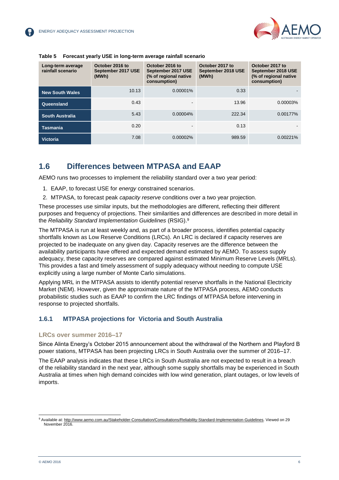| Long-term average<br>rainfall scenario | October 2016 to<br>September 2017 USE<br>(MWh) | October 2016 to<br>September 2017 USE<br>(% of regional native<br>consumption) | October 2017 to<br>September 2018 USE<br>(MWh) | October 2017 to<br>September 2018 USE<br>(% of regional native<br>consumption) |
|----------------------------------------|------------------------------------------------|--------------------------------------------------------------------------------|------------------------------------------------|--------------------------------------------------------------------------------|
| <b>New South Wales</b>                 | 10.13                                          | $0.00001\%$                                                                    | 0.33                                           |                                                                                |
| Queensland                             | 0.43                                           |                                                                                | 13.96                                          | 0.00003%                                                                       |
| <b>South Australia</b>                 | 5.43                                           | $0.00004\%$                                                                    | 222.34                                         | 0.00177%                                                                       |
| Tasmania                               | 0.20                                           |                                                                                | 0.13                                           |                                                                                |
| <b>Victoria</b>                        | 7.08                                           | $0.00002\%$                                                                    | 989.59                                         | 0.00221%                                                                       |

#### **Table 5 Forecast yearly USE in long-term average rainfall scenario**

### <span id="page-8-0"></span>**1.6 Differences between MTPASA and EAAP**

AEMO runs two processes to implement the reliability standard over a two year period:

- 1. EAAP, to forecast USE for *energy* constrained scenarios.
- 2. MTPASA, to forecast peak *capacity reserve* conditions over a two year projection.

These processes use similar inputs, but the methodologies are different, reflecting their different purposes and frequency of projections. Their similarities and differences are described in more detail in the *Reliability Standard Implementation Guidelines* (RSIG).<sup>9</sup>

The MTPASA is run at least weekly and, as part of a broader process, identifies potential capacity shortfalls known as Low Reserve Conditions (LRCs). An LRC is declared if capacity reserves are projected to be inadequate on any given day. Capacity reserves are the difference between the availability participants have offered and expected demand estimated by AEMO. To assess supply adequacy, these capacity reserves are compared against estimated Minimum Reserve Levels (MRLs). This provides a fast and timely assessment of supply adequacy without needing to compute USE explicitly using a large number of Monte Carlo simulations.

Applying MRL in the MTPASA assists to identify potential reserve shortfalls in the National Electricity Market (NEM). However, given the approximate nature of the MTPASA process, AEMO conducts probabilistic studies such as EAAP to confirm the LRC findings of MTPASA before intervening in response to projected shortfalls.

#### **1.6.1 MTPASA projections for Victoria and South Australia**

#### **LRCs over summer 2016–17**

Since Alinta Energy's October 2015 announcement about the withdrawal of the Northern and Playford B power stations, MTPASA has been projecting LRCs in South Australia over the summer of 2016–17.

The EAAP analysis indicates that these LRCs in South Australia are not expected to result in a breach of the reliability standard in the next year, although some supply shortfalls may be experienced in South Australia at times when high demand coincides with low wind generation, plant outages, or low levels of imports.

l

<sup>9</sup> Available at: [http://www.aemo.com.au/Stakeholder-Consultation/Consultations/Reliability-Standard-Implementation-Guidelines.](http://www.aemo.com.au/Stakeholder-Consultation/Consultations/Reliability-Standard-Implementation-Guidelines) Viewed on 29 November 2016.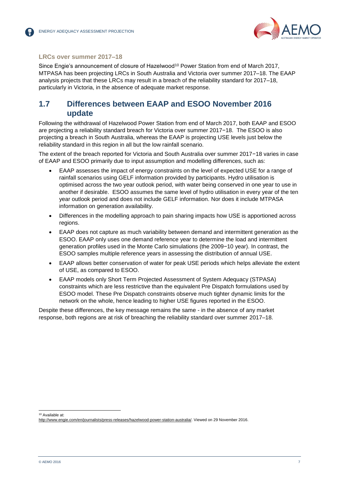

#### **LRCs over summer 2017–18**

Since Engie's announcement of closure of Hazelwood<sup>10</sup> Power Station from end of March 2017, MTPASA has been projecting LRCs in South Australia and Victoria over summer 2017–18. The EAAP analysis projects that these LRCs may result in a breach of the reliability standard for 2017–18, particularly in Victoria, in the absence of adequate market response.

### <span id="page-9-0"></span>**1.7 Differences between EAAP and ESOO November 2016 update**

Following the withdrawal of Hazelwood Power Station from end of March 2017, both EAAP and ESOO are projecting a reliability standard breach for Victoria over summer 2017−18. The ESOO is also projecting a breach in South Australia, whereas the EAAP is projecting USE levels just below the reliability standard in this region in all but the low rainfall scenario.

The extent of the breach reported for Victoria and South Australia over summer 2017−18 varies in case of EAAP and ESOO primarily due to input assumption and modelling differences, such as:

- EAAP assesses the impact of energy constraints on the level of expected USE for a range of rainfall scenarios using GELF information provided by participants. Hydro utilisation is optimised across the two year outlook period, with water being conserved in one year to use in another if desirable. ESOO assumes the same level of hydro utilisation in every year of the ten year outlook period and does not include GELF information. Nor does it include MTPASA information on generation availability.
- Differences in the modelling approach to pain sharing impacts how USE is apportioned across regions.
- EAAP does not capture as much variability between demand and intermittent generation as the ESOO. EAAP only uses one demand reference year to determine the load and intermittent generation profiles used in the Monte Carlo simulations (the 2009−10 year). In contrast, the ESOO samples multiple reference years in assessing the distribution of annual USE.
- EAAP allows better conservation of water for peak USE periods which helps alleviate the extent of USE, as compared to ESOO.
- EAAP models only Short Term Projected Assessment of System Adequacy (STPASA) constraints which are less restrictive than the equivalent Pre Dispatch formulations used by ESOO model. These Pre Dispatch constraints observe much tighter dynamic limits for the network on the whole, hence leading to higher USE figures reported in the ESOO.

Despite these differences, the key message remains the same - in the absence of any market response, both regions are at risk of breaching the reliability standard over summer 2017–18.

l 10 Available at:

[http://www.engie.com/en/journalists/press-releases/hazelwood-power-station-australia/.](http://www.engie.com/en/journalists/press-releases/hazelwood-power-station-australia/) Viewed on 29 November 2016.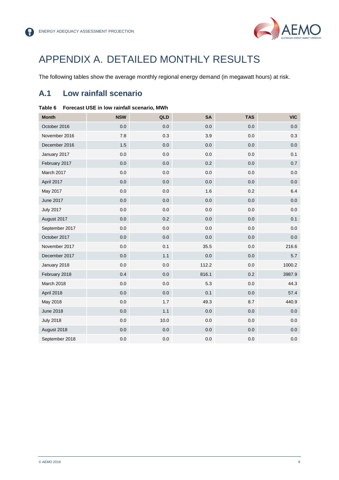

## <span id="page-10-0"></span>APPENDIX A. DETAILED MONTHLY RESULTS

The following tables show the average monthly regional energy demand (in megawatt hours) at risk.

## <span id="page-10-1"></span>**A.1 Low rainfall scenario**

| <b>Month</b>     | <b>NSW</b> | QLD     | <b>SA</b> | <b>TAS</b> | <b>VIC</b> |
|------------------|------------|---------|-----------|------------|------------|
| October 2016     | 0.0        | 0.0     | 0.0       | 0.0        | 0.0        |
| November 2016    | 7.8        | 0.3     | 3.9       | 0.0        | 0.3        |
| December 2016    | 1.5        | 0.0     | 0.0       | 0.0        | 0.0        |
| January 2017     | 0.0        | 0.0     | 0.0       | 0.0        | 0.1        |
| February 2017    | 0.0        | 0.0     | 0.2       | 0.0        | 0.7        |
| March 2017       | 0.0        | 0.0     | 0.0       | 0.0        | 0.0        |
| April 2017       | 0.0        | 0.0     | 0.0       | 0.0        | 0.0        |
| May 2017         | 0.0        | $0.0\,$ | 1.6       | 0.2        | 6.4        |
| <b>June 2017</b> | 0.0        | 0.0     | 0.0       | 0.0        | 0.0        |
| <b>July 2017</b> | 0.0        | 0.0     | 0.0       | 0.0        | 0.0        |
| August 2017      | 0.0        | 0.2     | 0.0       | 0.0        | 0.1        |
| September 2017   | 0.0        | 0.0     | 0.0       | 0.0        | 0.0        |
| October 2017     | 0.0        | 0.0     | 0.0       | 0.0        | 0.0        |
| November 2017    | 0.0        | 0.1     | 35.5      | 0.0        | 216.6      |
| December 2017    | 0.0        | 1.1     | 0.0       | 0.0        | 5.7        |
| January 2018     | $0.0\,$    | $0.0\,$ | 112.2     | 0.0        | 1000.2     |
| February 2018    | 0.4        | 0.0     | 816.1     | 0.2        | 3987.9     |
| March 2018       | 0.0        | $0.0\,$ | 5.3       | 0.0        | 44.3       |
| April 2018       | 0.0        | 0.0     | 0.1       | 0.0        | 57.4       |
| May 2018         | 0.0        | 1.7     | 49.3      | 8.7        | 440.9      |
| <b>June 2018</b> | 0.0        | 1.1     | 0.0       | 0.0        | 0.0        |
| <b>July 2018</b> | 0.0        | 10.0    | 0.0       | 0.0        | 0.0        |
| August 2018      | 0.0        | 0.0     | 0.0       | 0.0        | 0.0        |
| September 2018   | 0.0        | $0.0\,$ | 0.0       | $0.0\,$    | 0.0        |

#### **Table 6 Forecast USE in low rainfall scenario, MWh**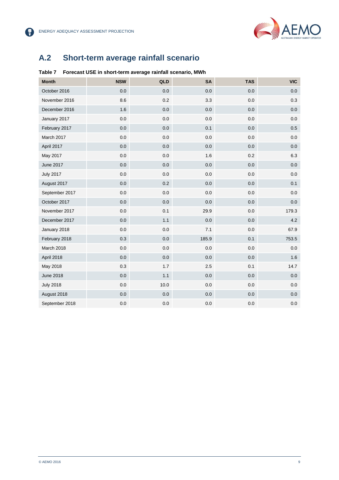

2

## <span id="page-11-0"></span>**A.2 Short-term average rainfall scenario**

#### **Table 7 Forecast USE in short-term average rainfall scenario, MWh**

| <b>Month</b>     | <b>NSW</b> | QLD     | SA    | <b>TAS</b> | <b>VIC</b> |
|------------------|------------|---------|-------|------------|------------|
| October 2016     | 0.0        | 0.0     | 0.0   | 0.0        | 0.0        |
| November 2016    | 8.6        | 0.2     | 3.3   | 0.0        | 0.3        |
| December 2016    | 1.6        | 0.0     | 0.0   | 0.0        | 0.0        |
| January 2017     | $0.0\,$    | 0.0     | 0.0   | $0.0\,$    | 0.0        |
| February 2017    | 0.0        | 0.0     | 0.1   | 0.0        | 0.5        |
| March 2017       | 0.0        | 0.0     | 0.0   | 0.0        | 0.0        |
| April 2017       | 0.0        | 0.0     | 0.0   | 0.0        | 0.0        |
| May 2017         | $0.0\,$    | $0.0\,$ | 1.6   | 0.2        | 6.3        |
| <b>June 2017</b> | 0.0        | 0.0     | 0.0   | 0.0        | 0.0        |
| <b>July 2017</b> | $0.0\,$    | 0.0     | 0.0   | 0.0        | 0.0        |
| August 2017      | 0.0        | 0.2     | 0.0   | 0.0        | 0.1        |
| September 2017   | 0.0        | $0.0\,$ | 0.0   | $0.0\,$    | 0.0        |
| October 2017     | 0.0        | 0.0     | 0.0   | 0.0        | 0.0        |
| November 2017    | 0.0        | 0.1     | 29.9  | 0.0        | 179.3      |
| December 2017    | 0.0        | 1.1     | 0.0   | 0.0        | 4.2        |
| January 2018     | 0.0        | $0.0\,$ | 7.1   | 0.0        | 67.9       |
| February 2018    | 0.3        | 0.0     | 185.9 | 0.1        | 753.5      |
| March 2018       | 0.0        | 0.0     | 0.0   | 0.0        | 0.0        |
| April 2018       | 0.0        | 0.0     | 0.0   | 0.0        | 1.6        |
| May 2018         | 0.3        | 1.7     | 2.5   | 0.1        | 14.7       |
| <b>June 2018</b> | 0.0        | 1.1     | 0.0   | 0.0        | 0.0        |
| <b>July 2018</b> | $0.0\,$    | 10.0    | 0.0   | 0.0        | 0.0        |
| August 2018      | 0.0        | 0.0     | 0.0   | 0.0        | 0.0        |
| September 2018   | 0.0        | 0.0     | 0.0   | 0.0        | 0.0        |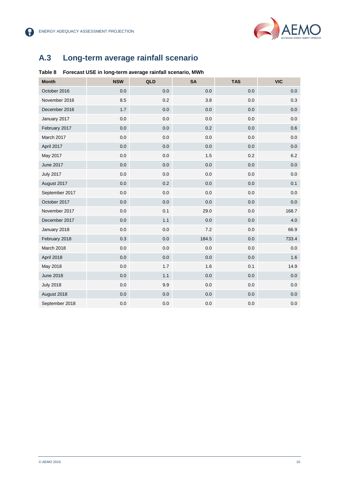

8

## <span id="page-12-0"></span>**A.3 Long-term average rainfall scenario**

#### **Table 8 Forecast USE in long-term average rainfall scenario, MWh**

| <b>Month</b>     | <b>NSW</b> | QLD     | <b>SA</b> | <b>TAS</b> | <b>VIC</b> |
|------------------|------------|---------|-----------|------------|------------|
| October 2016     | 0.0        | 0.0     | 0.0       | 0.0        | 0.0        |
| November 2016    | 8.5        | 0.2     | 3.8       | 0.0        | 0.3        |
| December 2016    | 1.7        | 0.0     | 0.0       | 0.0        | 0.0        |
| January 2017     | 0.0        | 0.0     | 0.0       | 0.0        | 0.0        |
| February 2017    | 0.0        | 0.0     | 0.2       | 0.0        | 0.6        |
| March 2017       | 0.0        | 0.0     | 0.0       | 0.0        | 0.0        |
| April 2017       | 0.0        | 0.0     | $0.0\,$   | 0.0        | 0.0        |
| May 2017         | 0.0        | $0.0\,$ | 1.5       | 0.2        | 6.2        |
| <b>June 2017</b> | 0.0        | 0.0     | 0.0       | 0.0        | 0.0        |
| <b>July 2017</b> | 0.0        | 0.0     | 0.0       | 0.0        | 0.0        |
| August 2017      | 0.0        | 0.2     | 0.0       | 0.0        | 0.1        |
| September 2017   | 0.0        | 0.0     | 0.0       | 0.0        | 0.0        |
| October 2017     | 0.0        | 0.0     | 0.0       | 0.0        | 0.0        |
| November 2017    | 0.0        | 0.1     | 29.0      | 0.0        | 168.7      |
| December 2017    | 0.0        | 1.1     | 0.0       | 0.0        | 4.0        |
| January 2018     | 0.0        | $0.0\,$ | 7.2       | 0.0        | 66.9       |
| February 2018    | 0.3        | 0.0     | 184.5     | 0.0        | 733.4      |
| March 2018       | 0.0        | $0.0\,$ | 0.0       | 0.0        | 0.0        |
| April 2018       | 0.0        | 0.0     | 0.0       | 0.0        | 1.6        |
| May 2018         | $0.0\,$    | 1.7     | 1.6       | 0.1        | 14.9       |
| <b>June 2018</b> | 0.0        | 1.1     | 0.0       | 0.0        | 0.0        |
| <b>July 2018</b> | 0.0        | 9.9     | 0.0       | 0.0        | 0.0        |
| August 2018      | 0.0        | 0.0     | 0.0       | 0.0        | 0.0        |
| September 2018   | 0.0        | 0.0     | 0.0       | 0.0        | 0.0        |